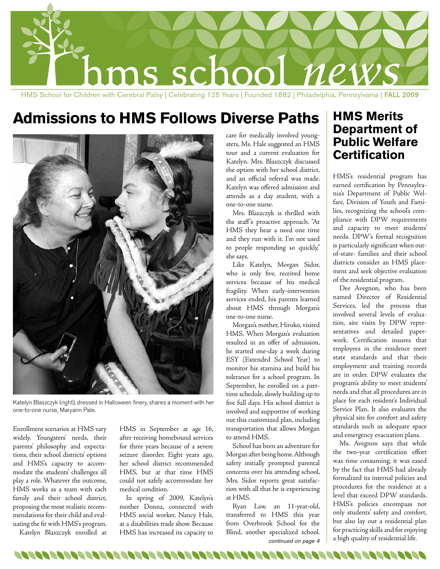

HMS School for Children with Cerebral Palsy | Celebrating 125 Years | Founded 1882 | Philadelphia, Pennsylvania | FALL 2009

### **Admissions to HMS Follows Diverse Paths HMS Merits**



Katelyn Blaszczyk (right), dressed in Halloween finery, shares a moment with her one-to-one nurse, Maryann Pale.

Enrollment scenarios at HMS vary widely. Youngsters' needs, their parents' philosophy and expectations, their school districts' options and HMS's capacity to accommodate the students' challenges all play a role. Whatever the outcome, HMS works as a team with each family and their school district, proposing the most realistic recommendations for their child and evaluating the fit with HMS's program.

Katelyn Blaszczyk enrolled at

HMS in September at age 16, after receiving homebound services for three years because of a severe seizure disorder. Eight years ago, her school district recommended HMS, but at that time HMS could not safely accommodate her medical condition.

In spring of 2009, Katelyn's mother Donna, connected with HMS social worker, Nancy Hale, at a disabilities trade show. Because HMS has increased its capacity to

care for medically involved youngsters, Ms. Hale suggested an HMS tour and a current evaluation for Katelyn. Mrs. Blaszczyk discussed the option with her school district, and an official referral was made. Katelyn was offered admission and attends as a day student, with a one-to-one nurse.

Mrs. Blaszczyk is thrilled with the staff's proactive approach. "At HMS they hear a need one time and they run with it. I'm not used to people responding so quickly," she says.

Like Katelyn, Morgan Sidor, who is only five, received home services because of his medical fragility. When early-intervention services ended, his parents learned about HMS through Morgan's one-to-one nurse.

Morgan's mother, Hiroko, visited HMS. When Morgan's evaluation resulted in an offer of admission, he started one-day a week during ESY (Extended School Year) to monitor his stamina and build his tolerance for a school program. In September, he enrolled on a parttime schedule, slowly building up to five full days. His school district is involved and supportive of working out this customized plan, including transportation that allows Morgan to attend HMS.

School has been an adventure for Morgan after being home. Although safety initially prompted parental concerns over his attending school, Mrs. Sidor reports great satisfaction with all that he is experiencing at HMS.

Ryan Law, an 11-year-old, transferred to HMS this year from Overbrook School for the Blind, another specialized school. *continued on page 4*

#### **Department of Public Welfare Certification**

HMS's residential program has earned certification by Pennsylvania's Department of Public Welfare, Division of Youth and Families, recognizing the school's compliance with DPW requirements and capacity to meet students' needs. DPW's formal recognition is particularly significant when outof-state- families and their school districts consider an HMS placement and seek objective evaluation of the residential program.

Dee Avegnon, who has been named Director of Residential Services, led the process that involved several levels of evaluation, site visits by DPW representatives and detailed paperwork. Certification insures that employees in the residence meet state standards and that their employment and training records are in order. DPW evaluates the program's ability to meet students' needs and that all procedures are in place for each resident's Individual Service Plan. It also evaluates the physical site for comfort and safety standards such as adequate space and emergency evacuation plans.

Ms. Avegnon says that while the two-year certification effort was time consuming, it was eased by the fact that HMS had already formalized its internal policies and procedures for the residence at a level that exceed DPW standards. HMS's policies encompass not only students' safety and comfort, but also lay out a residential plan for practicing skills and for enjoying a high quality of residential life.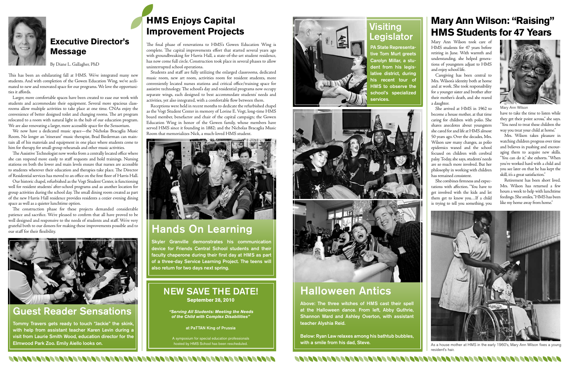

#### **Executive Director's Message**

By Diane L. Gallagher, PhD

This has been an exhilarating fall at HMS. We've integrated many new students. And with completion of the Gowen Education Wing, we've acclimated to new and renovated space for our programs. We love the opportunities it affords.

Larger, more comfortable spaces have been created to ease our work with students and accommodate their equipment. Several more spacious classrooms allow multiple activities to take place at one time. CNAs enjoy the convenience of better designed toilet and changing rooms. The art program relocated to a room with natural light in the hub of our education program. We are also renovating a larger, more accessible space for the Sensorium.

We now have a dedicated music space—the Nicholas Bracaglia Music Room. No longer an "itinerant" music therapist, Brad Biederman can maintain all of his materials and equipment in one place where students come to him for therapy, for small-group rehearsals and other music activities.

The Assistive Technologist now works from a centrally located office where she can respond more easily to staff requests and hold trainings. Nursing stations on both the lower and main levels ensure that nurses are accessible to students wherever their education and therapies take place. The Director of Residential services has moved to an office on the first floor of Harris Hall.

Our historic chapel, refurbished as the Vogt Student Center, is functioning well for resident students' after-school programs and as another location for group activities during the school day. The small dining room created as part of the new Harris Hall residence provides residents a cozier evening dining space as well as a quieter lunchtime option.

The construction phase for these projects demanded considerable patience and sacrifice. We're pleased to confirm that all have proved to be well designed and responsive to the needs of students and staff. We're very grateful both to our donors for making these improvements possible and to our staff for their flexibility.



# **HMS Enjoys Capital Improvement Projects**

The final phase of renovations to HMS's Gowen Education Wing is complete. The capital improvements effort that started several years ago with groundbreaking for Harris Hall, a state-of-the-art student residence, has now come full circle. Construction took place in several phases to allow uninterrupted school operations.

Students and staff are fully utilizing the enlarged classrooms, dedicated music room, new art room, activities room for resident students, more conveniently located nurses stations and critical office/training space for assistive technology. The school's day and residential programs now occupy separate wings, each designed to best accommodate students' needs and activities, yet also integrated, with a comfortable flow between them.

Receptions were held in recent months to dedicate the refurbished chapel as the Vogt Student Center in memory of Lorine E. Vogt, long-time HMS board member, benefactor and chair of the capital campaign; the Gowen Education Wing in honor of the Gowen family, whose members have served HMS since it founding in 1882; and the Nicholas Bracaglia Music Room that memorializes Nick, a much-loved HMS student.



Mary Ann Wilson took care of HMS students for 47 years before retiring in June. With warmth and understanding, she helped generations of youngsters adjust to HMS and enjoy school life.

Caregiving has been central to Mrs. Wilson's identity both at home and at work. She took responsibility for a younger sister and brother after their mother's death, and she reared a daughter.

She arrived at HMS in 1962 to become a house mother, at that time caring for children with polio. She shares anecdotes about youngsters she cared for and life at HMS almost 50 years ago. Over the decades, Mrs. Wilson saw many changes, as polio epidemics waned and the school focused on children with cerebral palsy. Today, she says, students' needs are so much more involved. But her philosophy in working with children has remained consistent.

She combines firmness and expectations with affection. "You have to get involved with the kids and let them get to know you…If a child is trying to tell you something, you



have to take the time to listen while they get their point across," she says. "You need to treat these children the way you treat your child at home."

Mrs. Wilson takes pleasure in watching children progress over time and believes in pushing and encouraging them to acquire new skills. "You can do it," she exhorts. "When you've worked hard with a child and you see later on that he has kept the skill, it's a great satisfaction."

Retirement has been short lived. Mrs. Wilson has returned a few hours a week to help with lunchtime feedings. She smiles, "HMS has been like my home away from home."



Mary Ann Wilson

### **Mary Ann Wilson: "Raising" HMS Students for 47 Years**

As a house mother at HMS in the early 1960's, Mary Ann Wilson fixes a young resident's hair.

### Guest Reader Sensations

Tommy Travers gets ready to touch "Jackie" the skink, with help from assistant teacher Karen Levin during a visit from Laurie Smith Wood, education director for the Elmwood Park Zoo. Emily Aiello looks on.

#### Visiting Legislator

PA State Representative Tom Murt greets Carolyn Millar, a student from his legislative district, during his recent tour of HMS to observe the school's specialized services.





# Hands On Learning

Skyler Granville demonstrates his communication device for Friends Central School students and their faculty chaperone during their first day at HMS as part of a three-day Service Learning Project. The teens will also return for two days next spring.

#### NEW SAVE THE DATE! **September 28, 2010**

 *"Serving All Students: Meeting the Needs of the Child with Complex Disabilities"*

at PaTTAN King of Prussia

A symposium for special education professionals hosted by HMS School has been rescheduled.



# Halloween Antics

Above: The three witches of HMS cast their spell at the Halloween dance. From left, Abby Guthrie, Shannon Ward and Ashley Overton, with assistant teacher Alyshia Reid.

Below: Ryan Law relaxes among his bathtub bubbles, with a smile from his dad, Steve.